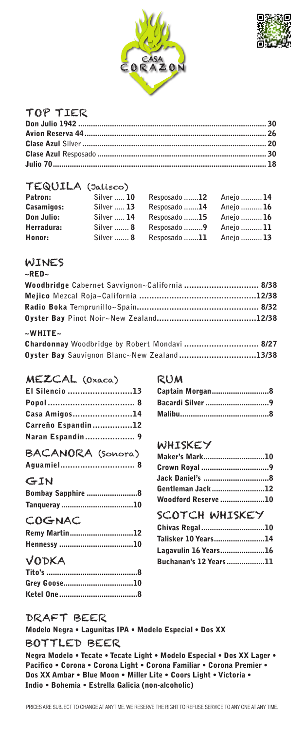



### TOP TIER

#### TEQUILA (Jalisco)

| Patron:    | Silver  10 | Resposado <b>12</b> | Anejo  14       |
|------------|------------|---------------------|-----------------|
| Casamigos: | Silver  13 | Resposado 14        | Anejo <b>16</b> |
| Don Julio: | Silver  14 | Resposado <b>15</b> | Anejo  16       |
| Herradura: | Silver  8  | Resposado 9         | Aneio  11       |
| Honor:     | Silver  8  | Resposado 11        | Anejo  13       |

#### WINES

#### $~\sim$ RED $~\sim$

| Woodbridge Cabernet Savvignon~California  8/38 |  |
|------------------------------------------------|--|
|                                                |  |
|                                                |  |
|                                                |  |
| $~\sim$ WHITE $~\sim$                          |  |
|                                                |  |

| Chardonnay Woodbridge by Robert Mondavi  8/27 |  |
|-----------------------------------------------|--|
| Oyster Bay Sauvignon Blanc~New Zealand13/38   |  |

#### MEZCAL (Oxaca)

| El Silencio 13     |  |
|--------------------|--|
|                    |  |
| Casa Amigos14      |  |
| Carreño Espandin12 |  |
| Naran Espandin 9   |  |
| BACANORA (SONOTA)  |  |
| Aquamiel 8         |  |

#### GIN

| <b>Bombay Sapphire 8</b> |  |
|--------------------------|--|
| Tanqueray10              |  |
| COGNAC                   |  |
| Remy Martin12            |  |
|                          |  |

# VODKA

| Grey Goose10 |  |
|--------------|--|
|              |  |

### RUM

| Captain Morgan8  |  |
|------------------|--|
| Bacardi Silver 9 |  |
|                  |  |

# WHISKEY

| Maker's Mark10             |  |
|----------------------------|--|
|                            |  |
|                            |  |
| Gentleman Jack12           |  |
| <b>Woodford Reserve 10</b> |  |

# SCOTCH WHISKEY

| Chivas Regal10        |  |
|-----------------------|--|
| Talisker 10 Years14   |  |
| Lagavulin 16 Years16  |  |
| Buchanan's 12 Years11 |  |

# DRAFT BEER

Modelo Negra • Lagunitas IPA • Modelo Especial • Dos XX BOTTLED BEER

Negra Modelo • Tecate • Tecate Light • Modelo Especial • Dos XX Lager • Pacifico • Corona • Corona Light • Corona Familiar • Corona Premier • Dos XX Ambar • Blue Moon • Miller Lite • Coors Light • Victoria • Indio • Bohemia • Estrella Galicia (non-alcoholic)